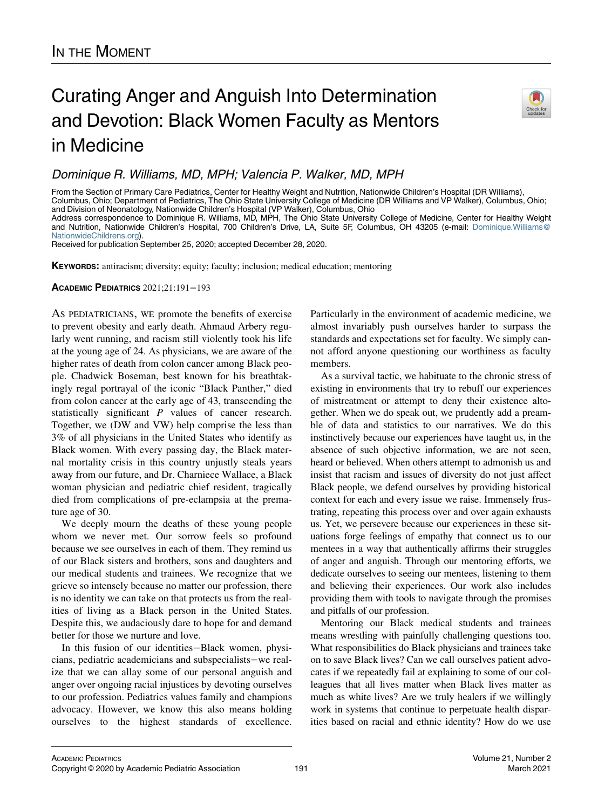## Curating Anger and Anguish Into Determination and Devotion: Black Women Faculty as Mentors in Medicine



Dominique R. Williams, MD, MPH; Valencia P. Walker, MD, MPH

From the Section of Primary Care Pediatrics, Center for Healthy Weight and Nutrition, Nationwide Children's Hospital (DR Williams), Columbus, Ohio; Department of Pediatrics, The Ohio State University College of Medicine (DR Williams and VP Walker), Columbus, Ohio; and Division of Neonatology, Nationwide Children's Hospital (VP Walker), Columbus, Ohio Address correspondence to Dominique R. Williams, MD, MPH, The Ohio State University College of Medicine, Center for Healthy Weight and Nutrition, Nationwide Children's Hospital, 700 Children's Drive, LA, Suite 5F, Columbus, OH 43205 (e-mail: [Dominique.Williams@](mailto:Dominique.Williams@NationwideChildrens.org) [NationwideChildrens.org](mailto:Dominique.Williams@NationwideChildrens.org)).

Received for publication September 25, 2020; accepted December 28, 2020.

KEYWORDS: antiracism; diversity; equity; faculty; inclusion; medical education; mentoring

ACADEMIC PEDIATRICS 2021;21:191−193

AS PEDIATRICIANS, WE promote the benefits of exercise to prevent obesity and early death. Ahmaud Arbery regularly went running, and racism still violently took his life at the young age of 24. As physicians, we are aware of the higher rates of death from colon cancer among Black people. Chadwick Boseman, best known for his breathtakingly regal portrayal of the iconic "Black Panther," died from colon cancer at the early age of 43, transcending the statistically significant P values of cancer research. Together, we (DW and VW) help comprise the less than 3% of all physicians in the United States who identify as Black women. With every passing day, the Black maternal mortality crisis in this country unjustly steals years away from our future, and Dr. Charniece Wallace, a Black woman physician and pediatric chief resident, tragically died from complications of pre-eclampsia at the premature age of 30.

We deeply mourn the deaths of these young people whom we never met. Our sorrow feels so profound because we see ourselves in each of them. They remind us of our Black sisters and brothers, sons and daughters and our medical students and trainees. We recognize that we grieve so intensely because no matter our profession, there is no identity we can take on that protects us from the realities of living as a Black person in the United States. Despite this, we audaciously dare to hope for and demand better for those we nurture and love.

In this fusion of our identities−Black women, physicians, pediatric academicians and subspecialists−we realize that we can allay some of our personal anguish and anger over ongoing racial injustices by devoting ourselves to our profession. Pediatrics values family and champions advocacy. However, we know this also means holding ourselves to the highest standards of excellence. Particularly in the environment of academic medicine, we almost invariably push ourselves harder to surpass the standards and expectations set for faculty. We simply cannot afford anyone questioning our worthiness as faculty members.

As a survival tactic, we habituate to the chronic stress of existing in environments that try to rebuff our experiences of mistreatment or attempt to deny their existence altogether. When we do speak out, we prudently add a preamble of data and statistics to our narratives. We do this instinctively because our experiences have taught us, in the absence of such objective information, we are not seen, heard or believed. When others attempt to admonish us and insist that racism and issues of diversity do not just affect Black people, we defend ourselves by providing historical context for each and every issue we raise. Immensely frustrating, repeating this process over and over again exhausts us. Yet, we persevere because our experiences in these situations forge feelings of empathy that connect us to our mentees in a way that authentically affirms their struggles of anger and anguish. Through our mentoring efforts, we dedicate ourselves to seeing our mentees, listening to them and believing their experiences. Our work also includes providing them with tools to navigate through the promises and pitfalls of our profession.

Mentoring our Black medical students and trainees means wrestling with painfully challenging questions too. What responsibilities do Black physicians and trainees take on to save Black lives? Can we call ourselves patient advocates if we repeatedly fail at explaining to some of our colleagues that all lives matter when Black lives matter as much as white lives? Are we truly healers if we willingly work in systems that continue to perpetuate health disparities based on racial and ethnic identity? How do we use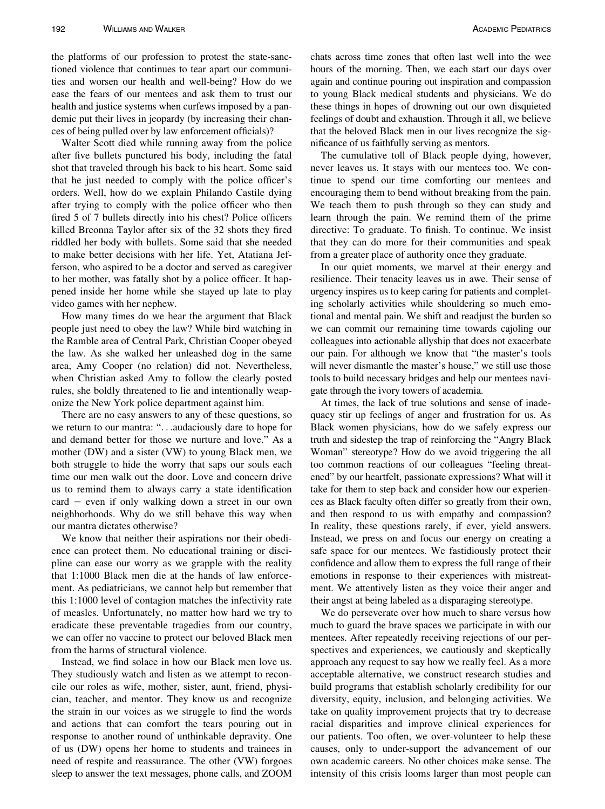the platforms of our profession to protest the state-sanctioned violence that continues to tear apart our communities and worsen our health and well-being? How do we ease the fears of our mentees and ask them to trust our health and justice systems when curfews imposed by a pandemic put their lives in jeopardy (by increasing their chances of being pulled over by law enforcement officials)?

Walter Scott died while running away from the police after five bullets punctured his body, including the fatal shot that traveled through his back to his heart. Some said that he just needed to comply with the police officer's orders. Well, how do we explain Philando Castile dying after trying to comply with the police officer who then fired 5 of 7 bullets directly into his chest? Police officers killed Breonna Taylor after six of the 32 shots they fired riddled her body with bullets. Some said that she needed to make better decisions with her life. Yet, Atatiana Jefferson, who aspired to be a doctor and served as caregiver to her mother, was fatally shot by a police officer. It happened inside her home while she stayed up late to play video games with her nephew.

How many times do we hear the argument that Black people just need to obey the law? While bird watching in the Ramble area of Central Park, Christian Cooper obeyed the law. As she walked her unleashed dog in the same area, Amy Cooper (no relation) did not. Nevertheless, when Christian asked Amy to follow the clearly posted rules, she boldly threatened to lie and intentionally weaponize the New York police department against him.

There are no easy answers to any of these questions, so we return to our mantra: "...audaciously dare to hope for and demand better for those we nurture and love." As a mother (DW) and a sister (VW) to young Black men, we both struggle to hide the worry that saps our souls each time our men walk out the door. Love and concern drive us to remind them to always carry a state identification card − even if only walking down a street in our own neighborhoods. Why do we still behave this way when our mantra dictates otherwise?

We know that neither their aspirations nor their obedience can protect them. No educational training or discipline can ease our worry as we grapple with the reality that 1:1000 Black men die at the hands of law enforcement. As pediatricians, we cannot help but remember that this 1:1000 level of contagion matches the infectivity rate of measles. Unfortunately, no matter how hard we try to eradicate these preventable tragedies from our country, we can offer no vaccine to protect our beloved Black men from the harms of structural violence.

Instead, we find solace in how our Black men love us. They studiously watch and listen as we attempt to reconcile our roles as wife, mother, sister, aunt, friend, physician, teacher, and mentor. They know us and recognize the strain in our voices as we struggle to find the words and actions that can comfort the tears pouring out in response to another round of unthinkable depravity. One of us (DW) opens her home to students and trainees in need of respite and reassurance. The other (VW) forgoes sleep to answer the text messages, phone calls, and ZOOM chats across time zones that often last well into the wee hours of the morning. Then, we each start our days over again and continue pouring out inspiration and compassion to young Black medical students and physicians. We do these things in hopes of drowning out our own disquieted feelings of doubt and exhaustion. Through it all, we believe that the beloved Black men in our lives recognize the significance of us faithfully serving as mentors.

The cumulative toll of Black people dying, however, never leaves us. It stays with our mentees too. We continue to spend our time comforting our mentees and encouraging them to bend without breaking from the pain. We teach them to push through so they can study and learn through the pain. We remind them of the prime directive: To graduate. To finish. To continue. We insist that they can do more for their communities and speak from a greater place of authority once they graduate.

In our quiet moments, we marvel at their energy and resilience. Their tenacity leaves us in awe. Their sense of urgency inspires us to keep caring for patients and completing scholarly activities while shouldering so much emotional and mental pain. We shift and readjust the burden so we can commit our remaining time towards cajoling our colleagues into actionable allyship that does not exacerbate our pain. For although we know that "the master's tools will never dismantle the master's house," we still use those tools to build necessary bridges and help our mentees navigate through the ivory towers of academia.

At times, the lack of true solutions and sense of inadequacy stir up feelings of anger and frustration for us. As Black women physicians, how do we safely express our truth and sidestep the trap of reinforcing the "Angry Black Woman" stereotype? How do we avoid triggering the all too common reactions of our colleagues "feeling threatened" by our heartfelt, passionate expressions? What will it take for them to step back and consider how our experiences as Black faculty often differ so greatly from their own, and then respond to us with empathy and compassion? In reality, these questions rarely, if ever, yield answers. Instead, we press on and focus our energy on creating a safe space for our mentees. We fastidiously protect their confidence and allow them to express the full range of their emotions in response to their experiences with mistreatment. We attentively listen as they voice their anger and their angst at being labeled as a disparaging stereotype.

We do perseverate over how much to share versus how much to guard the brave spaces we participate in with our mentees. After repeatedly receiving rejections of our perspectives and experiences, we cautiously and skeptically approach any request to say how we really feel. As a more acceptable alternative, we construct research studies and build programs that establish scholarly credibility for our diversity, equity, inclusion, and belonging activities. We take on quality improvement projects that try to decrease racial disparities and improve clinical experiences for our patients. Too often, we over-volunteer to help these causes, only to under-support the advancement of our own academic careers. No other choices make sense. The intensity of this crisis looms larger than most people can